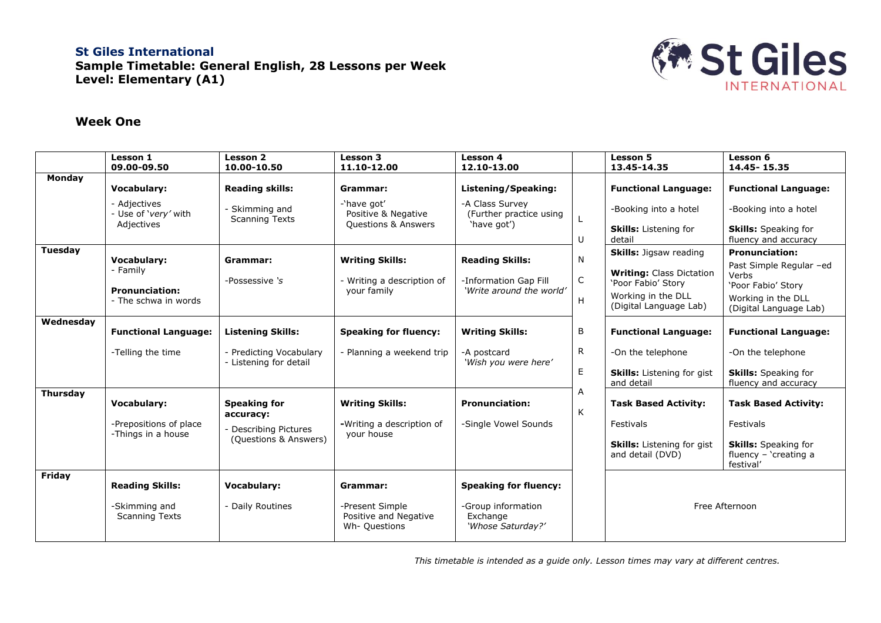## **St Giles International Sample Timetable: General English, 28 Lessons per Week Level: Elementary (A1)**



## **Week One**

|                 | Lesson 1<br>09.00-09.50                      | Lesson 2<br>10.00-10.50                         | Lesson 3<br>11.10-12.00                                   | <b>Lesson 4</b><br>12.10-13.00                      |              | <b>Lesson 5</b><br>13.45-14.35                        | Lesson 6<br>14.45 - 15.35                                           |  |
|-----------------|----------------------------------------------|-------------------------------------------------|-----------------------------------------------------------|-----------------------------------------------------|--------------|-------------------------------------------------------|---------------------------------------------------------------------|--|
| Monday          |                                              |                                                 |                                                           |                                                     |              |                                                       |                                                                     |  |
|                 | <b>Vocabulary:</b>                           | <b>Reading skills:</b>                          | Grammar:                                                  | Listening/Speaking:                                 |              | <b>Functional Language:</b>                           | <b>Functional Language:</b>                                         |  |
|                 | - Adiectives<br>- Use of 'very' with         | - Skimming and<br><b>Scanning Texts</b>         | -'have got'<br>Positive & Negative                        | -A Class Survey<br>(Further practice using          |              | -Booking into a hotel                                 | -Booking into a hotel                                               |  |
|                 | Adjectives                                   |                                                 | <b>Questions &amp; Answers</b>                            | 'have got')                                         | U            | Skills: Listening for<br>detail                       | <b>Skills:</b> Speaking for<br>fluency and accuracy                 |  |
| Tuesday         |                                              |                                                 |                                                           |                                                     |              | <b>Skills:</b> Jigsaw reading                         | <b>Pronunciation:</b>                                               |  |
|                 | <b>Vocabulary:</b><br>- Family               | Grammar:                                        | <b>Writing Skills:</b>                                    | <b>Reading Skills:</b>                              | $\mathsf{N}$ | <b>Writing: Class Dictation</b>                       | Past Simple Regular -ed                                             |  |
|                 | <b>Pronunciation:</b>                        | -Possessive 's                                  | - Writing a description of<br>your family                 | -Information Gap Fill<br>'Write around the world'   | $\mathsf{C}$ | 'Poor Fabio' Story                                    | Verbs<br>'Poor Fabio' Story                                         |  |
|                 | - The schwa in words                         |                                                 |                                                           |                                                     | H            | Working in the DLL<br>(Digital Language Lab)          | Working in the DLL<br>(Digital Language Lab)                        |  |
| Wednesday       |                                              |                                                 |                                                           |                                                     |              |                                                       |                                                                     |  |
|                 | <b>Functional Language:</b>                  | <b>Listening Skills:</b>                        | <b>Speaking for fluency:</b>                              | <b>Writing Skills:</b>                              | B            | <b>Functional Language:</b>                           | <b>Functional Language:</b>                                         |  |
|                 | -Telling the time                            | Predicting Vocabulary<br>- Listening for detail | - Planning a weekend trip                                 | -A postcard<br>'Wish you were here'                 | R            | -On the telephone                                     | -On the telephone                                                   |  |
|                 |                                              |                                                 |                                                           |                                                     | $\mathsf E$  | <b>Skills:</b> Listening for gist<br>and detail       | <b>Skills:</b> Speaking for<br>fluency and accuracy                 |  |
| <b>Thursday</b> |                                              |                                                 |                                                           |                                                     | А            |                                                       |                                                                     |  |
|                 | <b>Vocabulary:</b>                           | <b>Speaking for</b><br>accuracy:                | <b>Writing Skills:</b>                                    | <b>Pronunciation:</b>                               | K            | <b>Task Based Activity:</b>                           | <b>Task Based Activity:</b>                                         |  |
|                 | -Prepositions of place<br>-Things in a house | <b>Describing Pictures</b>                      | -Writing a description of<br>your house                   | -Single Vowel Sounds                                |              | Festivals                                             | Festivals                                                           |  |
|                 |                                              | (Questions & Answers)                           |                                                           |                                                     |              | <b>Skills:</b> Listening for gist<br>and detail (DVD) | <b>Skills:</b> Speaking for<br>fluency $-$ 'creating a<br>festival' |  |
| Friday          |                                              |                                                 |                                                           |                                                     |              |                                                       |                                                                     |  |
|                 | <b>Reading Skills:</b>                       | <b>Vocabulary:</b>                              | Grammar:                                                  | <b>Speaking for fluency:</b>                        |              |                                                       |                                                                     |  |
|                 | -Skimming and<br><b>Scanning Texts</b>       | Daily Routines                                  | -Present Simple<br>Positive and Negative<br>Wh- Questions | -Group information<br>Exchange<br>'Whose Saturday?' |              | Free Afternoon                                        |                                                                     |  |

*This timetable is intended as a guide only. Lesson times may vary at different centres.*